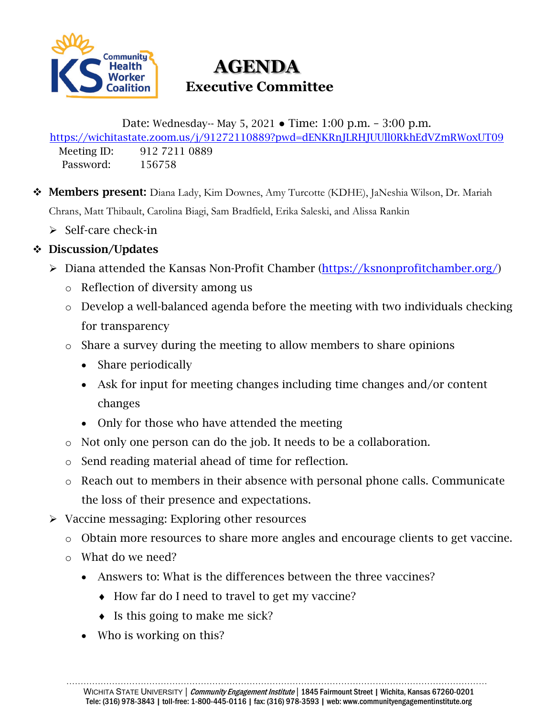

# **AGENDA Executive Committee**

Date: Wednesday-- May 5, 2021 ● Time: 1:00 p.m. – 3:00 p.m.

<https://wichitastate.zoom.us/j/91272110889?pwd=dENKRnJLRHJUUll0RkhEdVZmRWoxUT09> Meeting ID: 912 7211 0889

Password: 156758

- Members present: Diana Lady, Kim Downes, Amy Turcotte (KDHE), JaNeshia Wilson, Dr. Mariah Chrans, Matt Thibault, Carolina Biagi, Sam Bradfield, Erika Saleski, and Alissa Rankin
	- $\triangleright$  Self-care check-in

# Discussion/Updates

- Diana attended the Kansas Non-Profit Chamber [\(https://ksnonprofitchamber.org/\)](https://ksnonprofitchamber.org/)
	- o Reflection of diversity among us
	- o Develop a well-balanced agenda before the meeting with two individuals checking for transparency
	- o Share a survey during the meeting to allow members to share opinions
		- Share periodically
		- Ask for input for meeting changes including time changes and/or content changes
		- Only for those who have attended the meeting
	- o Not only one person can do the job. It needs to be a collaboration.
	- o Send reading material ahead of time for reflection.
	- o Reach out to members in their absence with personal phone calls. Communicate the loss of their presence and expectations.
- $\triangleright$  Vaccine messaging: Exploring other resources
	- o Obtain more resources to share more angles and encourage clients to get vaccine.
	- o What do we need?
		- Answers to: What is the differences between the three vaccines?
			- ♦ How far do I need to travel to get my vaccine?
			- ♦ Is this going to make me sick?
		- Who is working on this?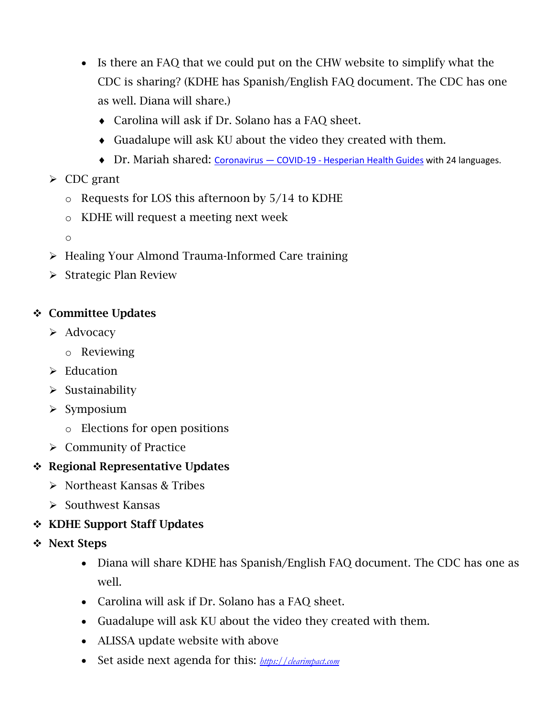- Is there an FAQ that we could put on the CHW website to simplify what the CDC is sharing? (KDHE has Spanish/English FAQ document. The CDC has one as well. Diana will share.)
	- ♦ Carolina will ask if Dr. Solano has a FAQ sheet.
	- ♦ Guadalupe will ask KU about the video they created with them.
	- ♦ Dr. Mariah shared: Coronavirus COVID-19 [Hesperian Health Guides](https://en.hesperian.org/hhg/Coronavirus?utm_source=Newsletter%20Announcement&utm_medium=email&utm_campaign=covidFS_announcememnt) with 24 languages.

### $\triangleright$  CDC grant

- o Requests for LOS this afternoon by 5/14 to KDHE
- o KDHE will request a meeting next week
- o
- ▶ Healing Your Almond Trauma-Informed Care training
- $\triangleright$  Strategic Plan Review

#### Committee Updates

- $\triangleright$  Advocacy
	- o Reviewing
- $\triangleright$  Education
- $\triangleright$  Sustainability
- $\triangleright$  Symposium
	- o Elections for open positions
- $\triangleright$  Community of Practice

# ❖ Regional Representative Updates

- Northeast Kansas & Tribes
- $\triangleright$  Southwest Kansas

# **\*** KDHE Support Staff Updates

- **❖** Next Steps
	- Diana will share KDHE has Spanish/English FAQ document. The CDC has one as well.
	- Carolina will ask if Dr. Solano has a FAQ sheet.
	- Guadalupe will ask KU about the video they created with them.
	- ALISSA update website with above
	- Set aside next agenda for this: *[https://clearimpact.com](https://clearimpact.com/)*